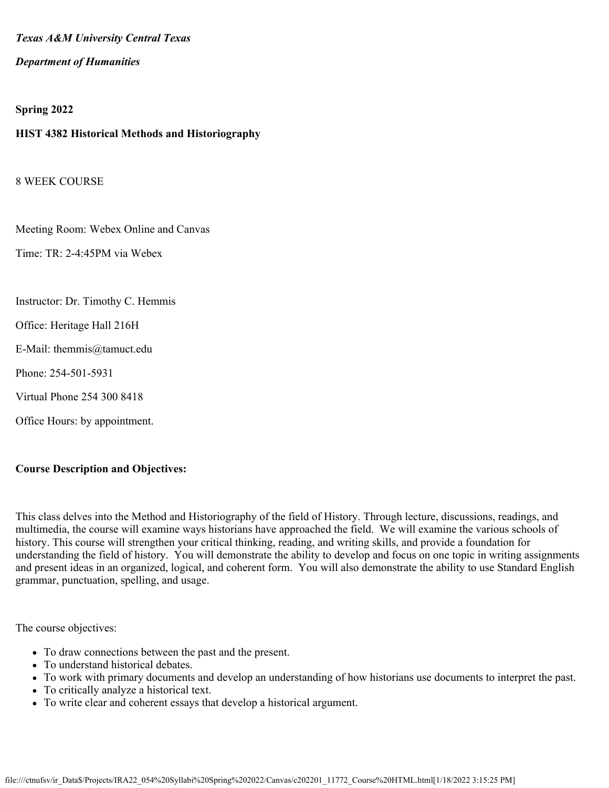#### *Texas A&M University Central Texas*

#### *Department of Humanities*

#### **Spring 2022**

#### **HIST 4382 Historical Methods and Historiography**

8 WEEK COURSE

Meeting Room: Webex Online and Canvas

Time: TR: 2-4:45PM via Webex

Instructor: Dr. Timothy C. Hemmis

Office: Heritage Hall 216H

- E-Mail: themmis@tamuct.edu
- Phone: 254-501-5931
- Virtual Phone 254 300 8418
- Office Hours: by appointment.

#### **Course Description and Objectives:**

This class delves into the Method and Historiography of the field of History. Through lecture, discussions, readings, and multimedia, the course will examine ways historians have approached the field. We will examine the various schools of history. This course will strengthen your critical thinking, reading, and writing skills, and provide a foundation for understanding the field of history. You will demonstrate the ability to develop and focus on one topic in writing assignments and present ideas in an organized, logical, and coherent form. You will also demonstrate the ability to use Standard English grammar, punctuation, spelling, and usage.

The course objectives:

- To draw connections between the past and the present.
- To understand historical debates.
- To work with primary documents and develop an understanding of how historians use documents to interpret the past.
- To critically analyze a historical text.
- To write clear and coherent essays that develop a historical argument.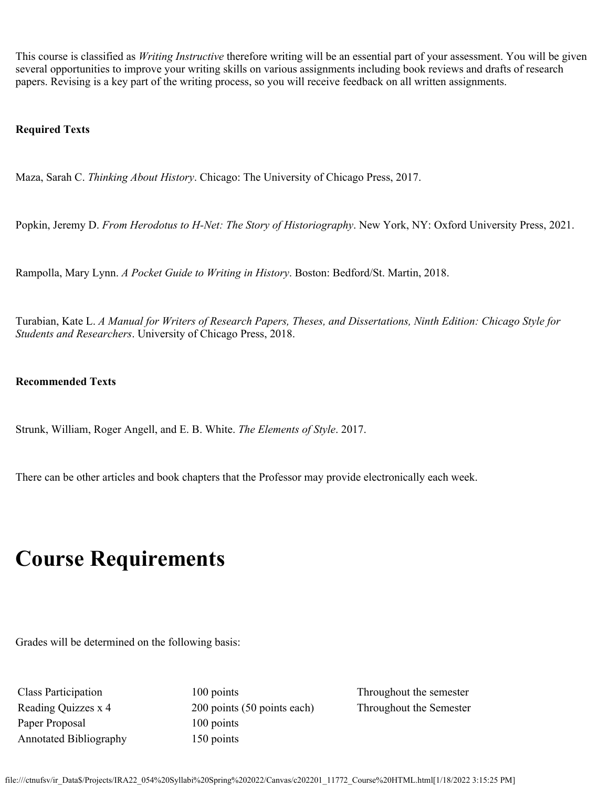This course is classified as *Writing Instructive* therefore writing will be an essential part of your assessment. You will be given several opportunities to improve your writing skills on various assignments including book reviews and drafts of research papers. Revising is a key part of the writing process, so you will receive feedback on all written assignments.

#### **Required Texts**

Maza, Sarah C. *Thinking About History*. Chicago: The University of Chicago Press, 2017.

Popkin, Jeremy D. *From Herodotus to H-Net: The Story of Historiography*. New York, NY: Oxford University Press, 2021.

Rampolla, Mary Lynn. *A Pocket Guide to Writing in History*. Boston: Bedford/St. Martin, 2018.

Turabian, Kate L. *A Manual for Writers of Research Papers, Theses, and Dissertations, Ninth Edition: Chicago Style for Students and Researchers*. University of Chicago Press, 2018.

#### **Recommended Texts**

Strunk, William, Roger Angell, and E. B. White. *The Elements of Style*. 2017.

There can be other articles and book chapters that the Professor may provide electronically each week.

# **Course Requirements**

Grades will be determined on the following basis:

Paper Proposal 100 points Annotated Bibliography 150 points

Class Participation 100 points Throughout the semester Reading Quizzes x 4 200 points (50 points each) Throughout the Semester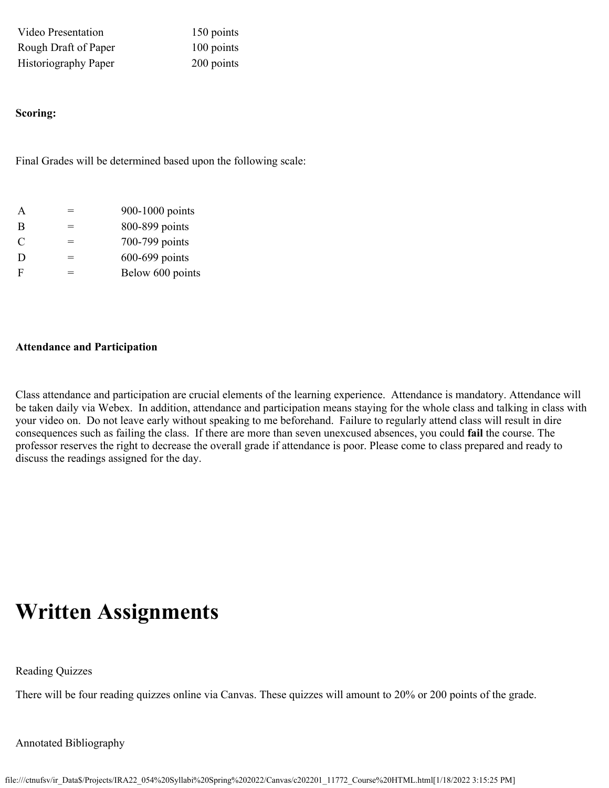Video Presentation 150 points Rough Draft of Paper 100 points Historiography Paper 200 points

#### **Scoring:**

Final Grades will be determined based upon the following scale:

| A             |     | 900-1000 points  |
|---------------|-----|------------------|
| B             | =   | 800-899 points   |
| $\mathcal{C}$ | $=$ | 700-799 points   |
| D             | =   | 600-699 points   |
| F             | —   | Below 600 points |

#### **Attendance and Participation**

Class attendance and participation are crucial elements of the learning experience. Attendance is mandatory. Attendance will be taken daily via Webex. In addition, attendance and participation means staying for the whole class and talking in class with your video on. Do not leave early without speaking to me beforehand. Failure to regularly attend class will result in dire consequences such as failing the class. If there are more than seven unexcused absences, you could **fail** the course. The professor reserves the right to decrease the overall grade if attendance is poor. Please come to class prepared and ready to discuss the readings assigned for the day.

# **Written Assignments**

Reading Quizzes

There will be four reading quizzes online via Canvas. These quizzes will amount to 20% or 200 points of the grade.

Annotated Bibliography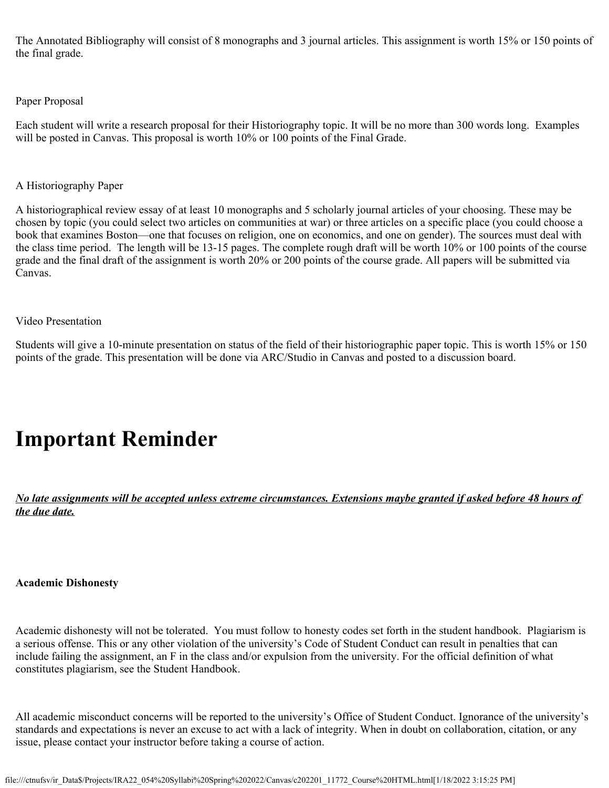The Annotated Bibliography will consist of 8 monographs and 3 journal articles. This assignment is worth 15% or 150 points of the final grade.

#### Paper Proposal

Each student will write a research proposal for their Historiography topic. It will be no more than 300 words long. Examples will be posted in Canvas. This proposal is worth  $10\%$  or 100 points of the Final Grade.

#### A Historiography Paper

A historiographical review essay of at least 10 monographs and 5 scholarly journal articles of your choosing. These may be chosen by topic (you could select two articles on communities at war) or three articles on a specific place (you could choose a book that examines Boston—one that focuses on religion, one on economics, and one on gender). The sources must deal with the class time period. The length will be 13-15 pages. The complete rough draft will be worth 10% or 100 points of the course grade and the final draft of the assignment is worth 20% or 200 points of the course grade. All papers will be submitted via Canvas.

#### Video Presentation

Students will give a 10-minute presentation on status of the field of their historiographic paper topic. This is worth 15% or 150 points of the grade. This presentation will be done via ARC/Studio in Canvas and posted to a discussion board.

# **Important Reminder**

*No late assignments will be accepted unless extreme circumstances. Extensions maybe granted if asked before 48 hours of the due date.*

#### **Academic Dishonesty**

Academic dishonesty will not be tolerated. You must follow to honesty codes set forth in the student handbook. Plagiarism is a serious offense. This or any other violation of the university's Code of Student Conduct can result in penalties that can include failing the assignment, an F in the class and/or expulsion from the university. For the official definition of what constitutes plagiarism, see the Student Handbook.

All academic misconduct concerns will be reported to the university's Office of Student Conduct. Ignorance of the university's standards and expectations is never an excuse to act with a lack of integrity. When in doubt on collaboration, citation, or any issue, please contact your instructor before taking a course of action.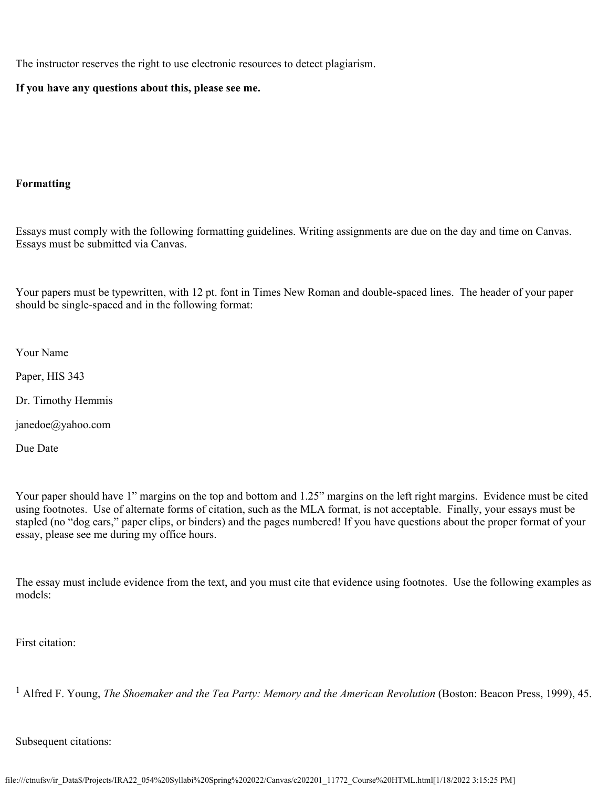The instructor reserves the right to use electronic resources to detect plagiarism.

#### **If you have any questions about this, please see me.**

#### **Formatting**

Essays must comply with the following formatting guidelines. Writing assignments are due on the day and time on Canvas. Essays must be submitted via Canvas.

Your papers must be typewritten, with 12 pt. font in Times New Roman and double-spaced lines. The header of your paper should be single-spaced and in the following format:

Your Name

Paper, HIS 343

Dr. Timothy Hemmis

janedoe@yahoo.com

Due Date

Your paper should have 1" margins on the top and bottom and 1.25" margins on the left right margins. Evidence must be cited using footnotes. Use of alternate forms of citation, such as the MLA format, is not acceptable. Finally, your essays must be stapled (no "dog ears," paper clips, or binders) and the pages numbered! If you have questions about the proper format of your essay, please see me during my office hours.

The essay must include evidence from the text, and you must cite that evidence using footnotes. Use the following examples as models:

First citation:

<sup>1</sup> Alfred F. Young, *The Shoemaker and the Tea Party: Memory and the American Revolution* (Boston: Beacon Press, 1999), 45.

Subsequent citations: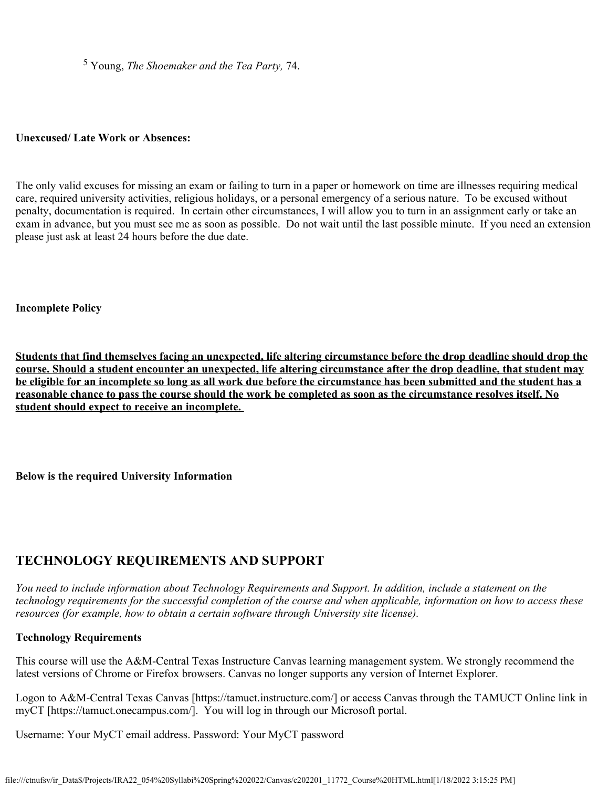5 Young, *The Shoemaker and the Tea Party,* 74.

#### **Unexcused/ Late Work or Absences:**

The only valid excuses for missing an exam or failing to turn in a paper or homework on time are illnesses requiring medical care, required university activities, religious holidays, or a personal emergency of a serious nature. To be excused without penalty, documentation is required. In certain other circumstances, I will allow you to turn in an assignment early or take an exam in advance, but you must see me as soon as possible. Do not wait until the last possible minute. If you need an extension please just ask at least 24 hours before the due date.

#### **Incomplete Policy**

**Students that find themselves facing an unexpected, life altering circumstance before the drop deadline should drop the course. Should a student encounter an unexpected, life altering circumstance after the drop deadline, that student may be eligible for an incomplete so long as all work due before the circumstance has been submitted and the student has a reasonable chance to pass the course should the work be completed as soon as the circumstance resolves itself. No student should expect to receive an incomplete.**

#### **Below is the required University Information**

# **TECHNOLOGY REQUIREMENTS AND SUPPORT**

*You need to include information about Technology Requirements and Support. In addition, include a statement on the technology requirements for the successful completion of the course and when applicable, information on how to access these resources (for example, how to obtain a certain software through University site license).*

# **Technology Requirements**

This course will use the A&M-Central Texas Instructure Canvas learning management system. We strongly recommend the latest versions of Chrome or Firefox browsers. Canvas no longer supports any version of Internet Explorer.

Logon to A&M-Central Texas Canvas [https://tamuct.instructure.com/] or access Canvas through the TAMUCT Online link in myCT [https://tamuct.onecampus.com/]. You will log in through our Microsoft portal.

Username: Your MyCT email address. Password: Your MyCT password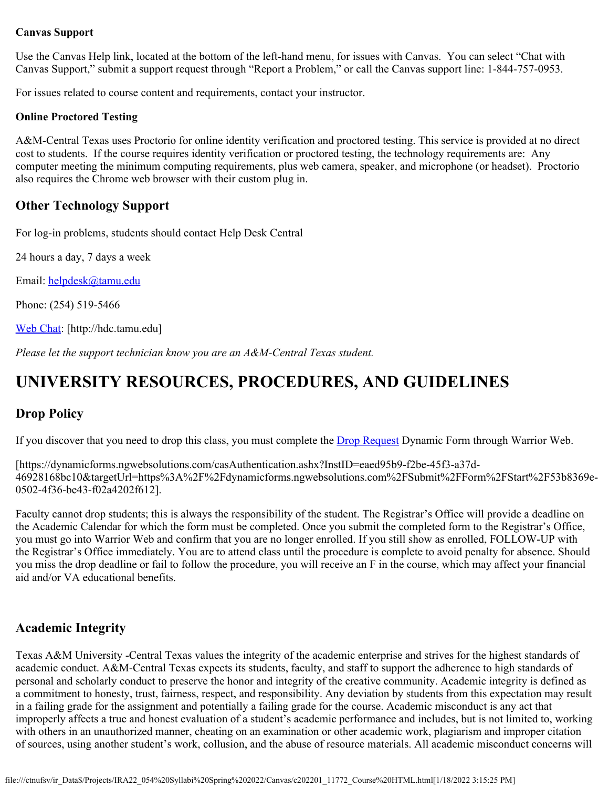#### **Canvas Support**

Use the Canvas Help link, located at the bottom of the left-hand menu, for issues with Canvas. You can select "Chat with Canvas Support," submit a support request through "Report a Problem," or call the Canvas support line: 1-844-757-0953.

For issues related to course content and requirements, contact your instructor.

#### **Online Proctored Testing**

A&M-Central Texas uses Proctorio for online identity verification and proctored testing. This service is provided at no direct cost to students. If the course requires identity verification or proctored testing, the technology requirements are: Any computer meeting the minimum computing requirements, plus web camera, speaker, and microphone (or headset). Proctorio also requires the Chrome web browser with their custom plug in.

# **Other Technology Support**

For log-in problems, students should contact Help Desk Central

24 hours a day, 7 days a week

Email: [helpdesk@tamu.edu](mailto:helpdesk@tamu.edu)

Phone: (254) 519-5466

[Web Chat](http://hdc.tamu.edu/): [http://hdc.tamu.edu]

*Please let the support technician know you are an A&M-Central Texas student.*

# **UNIVERSITY RESOURCES, PROCEDURES, AND GUIDELINES**

# **Drop Policy**

If you discover that you need to drop this class, you must complete the **Drop Request** Dynamic Form through Warrior Web.

[https://dynamicforms.ngwebsolutions.com/casAuthentication.ashx?InstID=eaed95b9-f2be-45f3-a37d-46928168bc10&targetUrl=https%3A%2F%2Fdynamicforms.ngwebsolutions.com%2FSubmit%2FForm%2FStart%2F53b8369e-0502-4f36-be43-f02a4202f612].

Faculty cannot drop students; this is always the responsibility of the student. The Registrar's Office will provide a deadline on the Academic Calendar for which the form must be completed. Once you submit the completed form to the Registrar's Office, you must go into Warrior Web and confirm that you are no longer enrolled. If you still show as enrolled, FOLLOW-UP with the Registrar's Office immediately. You are to attend class until the procedure is complete to avoid penalty for absence. Should you miss the drop deadline or fail to follow the procedure, you will receive an F in the course, which may affect your financial aid and/or VA educational benefits.

# **Academic Integrity**

Texas A&M University -Central Texas values the integrity of the academic enterprise and strives for the highest standards of academic conduct. A&M-Central Texas expects its students, faculty, and staff to support the adherence to high standards of personal and scholarly conduct to preserve the honor and integrity of the creative community. Academic integrity is defined as a commitment to honesty, trust, fairness, respect, and responsibility. Any deviation by students from this expectation may result in a failing grade for the assignment and potentially a failing grade for the course. Academic misconduct is any act that improperly affects a true and honest evaluation of a student's academic performance and includes, but is not limited to, working with others in an unauthorized manner, cheating on an examination or other academic work, plagiarism and improper citation of sources, using another student's work, collusion, and the abuse of resource materials. All academic misconduct concerns will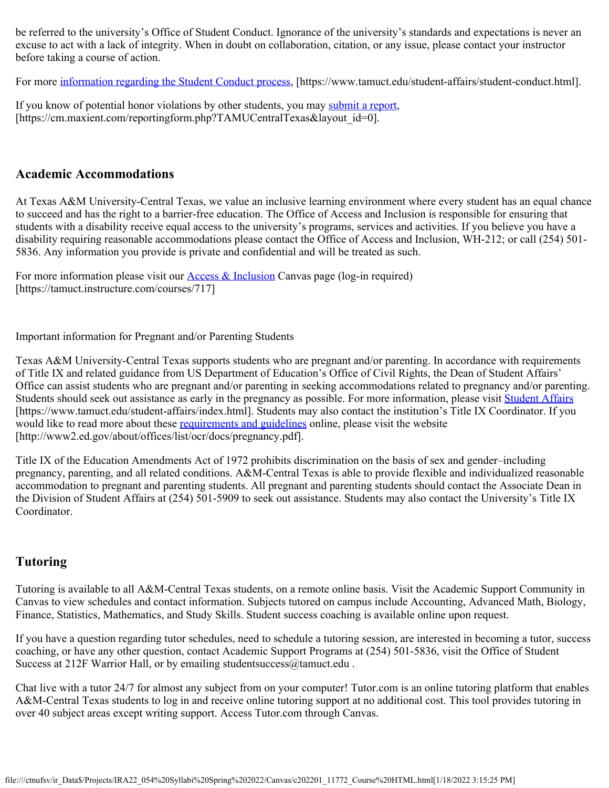be referred to the university's Office of Student Conduct. Ignorance of the university's standards and expectations is never an excuse to act with a lack of integrity. When in doubt on collaboration, citation, or any issue, please contact your instructor before taking a course of action.

For more [information regarding the Student Conduct process](https://www.tamuct.edu/student-affairs/student-conduct.html), [https://www.tamuct.edu/student-affairs/student-conduct.html].

If you know of potential honor violations by other students, you may [submit a report](https://cm.maxient.com/reportingform.php?TAMUCentralTexas&layout_id=0), [https://cm.maxient.com/reportingform.php?TAMUCentralTexas&layout\_id=0].

# **Academic Accommodations**

At Texas A&M University-Central Texas, we value an inclusive learning environment where every student has an equal chance to succeed and has the right to a barrier-free education. The Office of Access and Inclusion is responsible for ensuring that students with a disability receive equal access to the university's programs, services and activities. If you believe you have a disability requiring reasonable accommodations please contact the Office of Access and Inclusion, WH-212; or call (254) 501- 5836. Any information you provide is private and confidential and will be treated as such.

For more information please visit our **Access & Inclusion** Canvas page (log-in required) [https://tamuct.instructure.com/courses/717]

Important information for Pregnant and/or Parenting Students

Texas A&M University-Central Texas supports students who are pregnant and/or parenting. In accordance with requirements of Title IX and related guidance from US Department of Education's Office of Civil Rights, the Dean of Student Affairs' Office can assist students who are pregnant and/or parenting in seeking accommodations related to pregnancy and/or parenting. Students should seek out assistance as early in the pregnancy as possible. For more information, please visit [Student Affairs](https://www.tamuct.edu/student-affairs/index.html) [https://www.tamuct.edu/student-affairs/index.html]. Students may also contact the institution's Title IX Coordinator. If you would like to read more about these [requirements and guidelines](http://www2.ed.gov/about/offices/list/ocr/docs/pregnancy.pdf) online, please visit the website [http://www2.ed.gov/about/offices/list/ocr/docs/pregnancy.pdf].

Title IX of the Education Amendments Act of 1972 prohibits discrimination on the basis of sex and gender–including pregnancy, parenting, and all related conditions. A&M-Central Texas is able to provide flexible and individualized reasonable accommodation to pregnant and parenting students. All pregnant and parenting students should contact the Associate Dean in the Division of Student Affairs at (254) 501-5909 to seek out assistance. Students may also contact the University's Title IX Coordinator.

# **Tutoring**

Tutoring is available to all A&M-Central Texas students, on a remote online basis. Visit the Academic Support Community in Canvas to view schedules and contact information. Subjects tutored on campus include Accounting, Advanced Math, Biology, Finance, Statistics, Mathematics, and Study Skills. Student success coaching is available online upon request.

If you have a question regarding tutor schedules, need to schedule a tutoring session, are interested in becoming a tutor, success coaching, or have any other question, contact Academic Support Programs at (254) 501-5836, visit the Office of Student Success at 212F Warrior Hall, or by emailing student success  $@$  tamuct.edu.

Chat live with a tutor 24/7 for almost any subject from on your computer! Tutor.com is an online tutoring platform that enables A&M-Central Texas students to log in and receive online tutoring support at no additional cost. This tool provides tutoring in over 40 subject areas except writing support. Access Tutor.com through Canvas.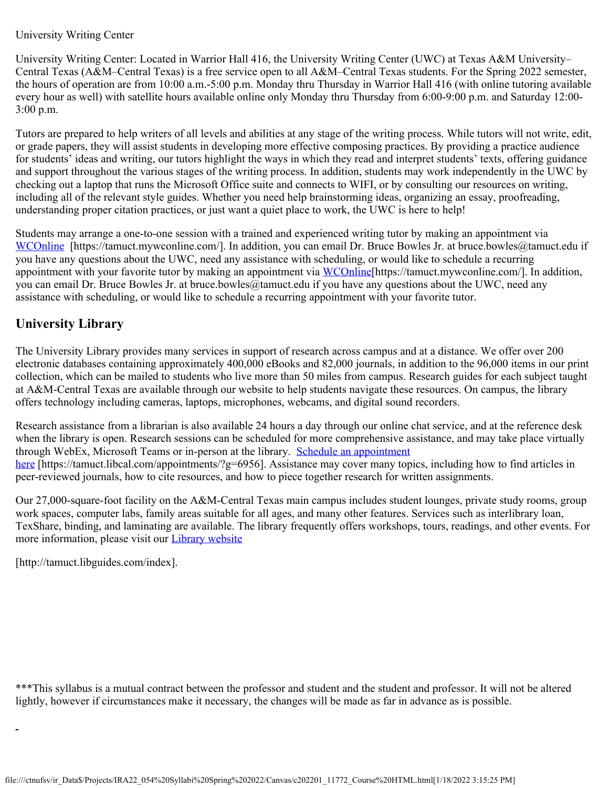#### University Writing Center

University Writing Center: Located in Warrior Hall 416, the University Writing Center (UWC) at Texas A&M University– Central Texas (A&M–Central Texas) is a free service open to all A&M–Central Texas students. For the Spring 2022 semester, the hours of operation are from 10:00 a.m.-5:00 p.m. Monday thru Thursday in Warrior Hall 416 (with online tutoring available every hour as well) with satellite hours available online only Monday thru Thursday from 6:00-9:00 p.m. and Saturday 12:00- 3:00 p.m.

Tutors are prepared to help writers of all levels and abilities at any stage of the writing process. While tutors will not write, edit, or grade papers, they will assist students in developing more effective composing practices. By providing a practice audience for students' ideas and writing, our tutors highlight the ways in which they read and interpret students' texts, offering guidance and support throughout the various stages of the writing process. In addition, students may work independently in the UWC by checking out a laptop that runs the Microsoft Office suite and connects to WIFI, or by consulting our resources on writing, including all of the relevant style guides. Whether you need help brainstorming ideas, organizing an essay, proofreading, understanding proper citation practices, or just want a quiet place to work, the UWC is here to help!

Students may arrange a one-to-one session with a trained and experienced writing tutor by making an appointment via [WCOnline](https://tamuct.mywconline.com/) [https://tamuct.mywconline.com/]. In addition, you can email Dr. Bruce Bowles Jr. at bruce.bowles@tamuct.edu if you have any questions about the UWC, need any assistance with scheduling, or would like to schedule a recurring appointment with your favorite tutor by making an appointment via [WCOnline](https://tamuct.mywconline.com/) [https://tamuct.mywconline.com/]. In addition, you can email Dr. Bruce Bowles Jr. at bruce.bowles@tamuct.edu if you have any questions about the UWC, need any assistance with scheduling, or would like to schedule a recurring appointment with your favorite tutor.

# **University Library**

The University Library provides many services in support of research across campus and at a distance. We offer over 200 electronic databases containing approximately 400,000 eBooks and 82,000 journals, in addition to the 96,000 items in our print collection, which can be mailed to students who live more than 50 miles from campus. Research guides for each subject taught at A&M-Central Texas are available through our website to help students navigate these resources. On campus, the library offers technology including cameras, laptops, microphones, webcams, and digital sound recorders.

Research assistance from a librarian is also available 24 hours a day through our online chat service, and at the reference desk when the library is open. Research sessions can be scheduled for more comprehensive assistance, and may take place virtually through WebEx, Microsoft Teams or in-person at the library. [Schedule an appointment](https://nam04.safelinks.protection.outlook.com/?url=https%3A%2F%2Ftamuct.libcal.com%2Fappointments%2F%3Fg%3D6956&data=04%7C01%7Clisa.bunkowski%40tamuct.edu%7Cde2c07d9f5804f09518008d9ab7ba6ff%7C9eed4e3000f744849ff193ad8005acec%7C0%7C0%7C637729369835011558%7CUnknown%7CTWFpbGZsb3d8eyJWIjoiMC4wLjAwMDAiLCJQIjoiV2luMzIiLCJBTiI6Ik1haWwiLCJXVCI6Mn0%3D%7C3000&sdata=KhtjgRSAw9aq%2FoBsB6wyu8b7PSuGN5EGPypzr3Ty2No%3D&reserved=0) [here](https://nam04.safelinks.protection.outlook.com/?url=https%3A%2F%2Ftamuct.libcal.com%2Fappointments%2F%3Fg%3D6956&data=04%7C01%7Clisa.bunkowski%40tamuct.edu%7Cde2c07d9f5804f09518008d9ab7ba6ff%7C9eed4e3000f744849ff193ad8005acec%7C0%7C0%7C637729369835011558%7CUnknown%7CTWFpbGZsb3d8eyJWIjoiMC4wLjAwMDAiLCJQIjoiV2luMzIiLCJBTiI6Ik1haWwiLCJXVCI6Mn0%3D%7C3000&sdata=KhtjgRSAw9aq%2FoBsB6wyu8b7PSuGN5EGPypzr3Ty2No%3D&reserved=0) [https://tamuct.libcal.com/appointments/?g=6956]. Assistance may cover many topics, including how to find articles in peer-reviewed journals, how to cite resources, and how to piece together research for written assignments.

Our 27,000-square-foot facility on the A&M-Central Texas main campus includes student lounges, private study rooms, group work spaces, computer labs, family areas suitable for all ages, and many other features. Services such as interlibrary loan, TexShare, binding, and laminating are available. The library frequently offers workshops, tours, readings, and other events. For more information, please visit our [Library website](https://nam04.safelinks.protection.outlook.com/?url=https%3A%2F%2Ftamuct.libguides.com%2Findex&data=04%7C01%7Clisa.bunkowski%40tamuct.edu%7C7d8489e8839a4915335f08d916f067f2%7C9eed4e3000f744849ff193ad8005acec%7C0%7C0%7C637566044056484222%7CUnknown%7CTWFpbGZsb3d8eyJWIjoiMC4wLjAwMDAiLCJQIjoiV2luMzIiLCJBTiI6Ik1haWwiLCJXVCI6Mn0%3D%7C1000&sdata=2R755V6rcIyedGrd4Os5rkgn1PvhHKU3kUV1vBKiHFo%3D&reserved=0)

[http://tamuct.libguides.com/index].

\*\*\*This syllabus is a mutual contract between the professor and student and the student and professor. It will not be altered lightly, however if circumstances make it necessary, the changes will be made as far in advance as is possible.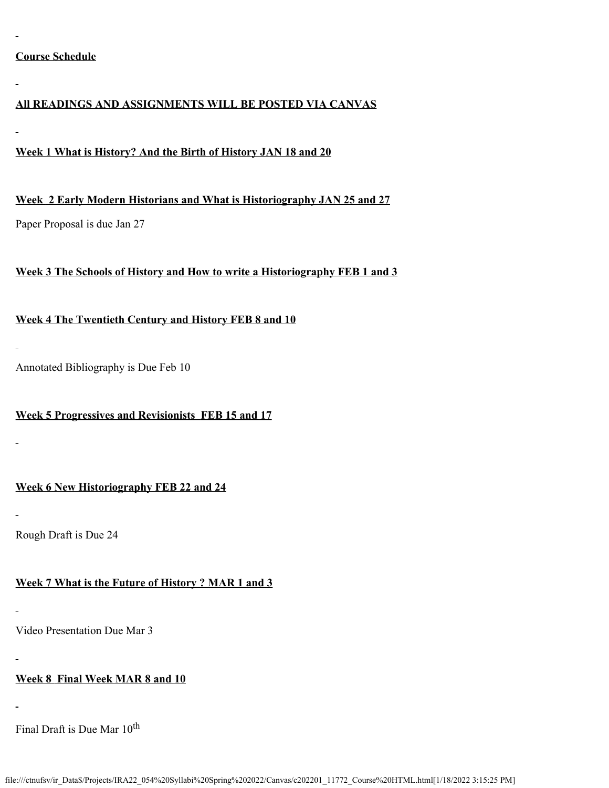# **Course Schedule**

#### **All READINGS AND ASSIGNMENTS WILL BE POSTED VIA CANVAS**

#### **Week 1 What is History? And the Birth of History JAN 18 and 20**

**Week 2 Early Modern Historians and What is Historiography JAN 25 and 27**

Paper Proposal is due Jan 27

#### **Week 3 The Schools of History and How to write a Historiography FEB 1 and 3**

# **Week 4 The Twentieth Century and History FEB 8 and 10**

Annotated Bibliography is Due Feb 10

# **Week 5 Progressives and Revisionists FEB 15 and 17**

# **Week 6 New Historiography FEB 22 and 24**

Rough Draft is Due 24

# **Week 7 What is the Future of History ? MAR 1 and 3**

Video Presentation Due Mar 3

# **Week 8 Final Week MAR 8 and 10**

Final Draft is Due Mar  $10^{th}$